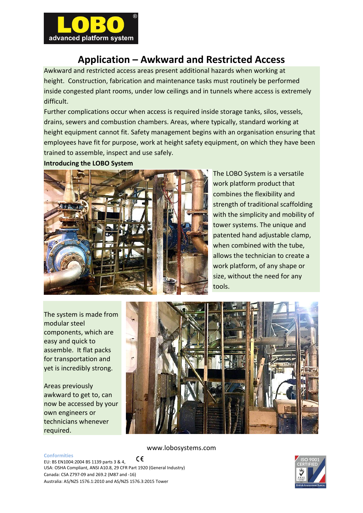

## **Application – Awkward and Restricted Access**

Awkward and restricted access areas present additional hazards when working at height. Construction, fabrication and maintenance tasks must routinely be performed inside congested plant rooms, under low ceilings and in tunnels where access is extremely difficult.

Further complications occur when access is required inside storage tanks, silos, vessels, drains, sewers and combustion chambers. Areas, where typically, standard working at height equipment cannot fit. Safety management begins with an organisation ensuring that employees have fit for purpose, work at height safety equipment, on which they have been trained to assemble, inspect and use safely.

**Introducing the LOBO System** 



The LOBO System is a versatile work platform product that combines the flexibility and strength of traditional scaffolding with the simplicity and mobility of tower systems. The unique and patented hand adjustable clamp, when combined with the tube, allows the technician to create a work platform, of any shape or size, without the need for any tools.

The system is made from modular steel components, which are easy and quick to assemble. It flat packs for transportation and yet is incredibly strong.

Areas previously awkward to get to, can now be accessed by your own engineers or technicians whenever required.



www.lobosystems.com